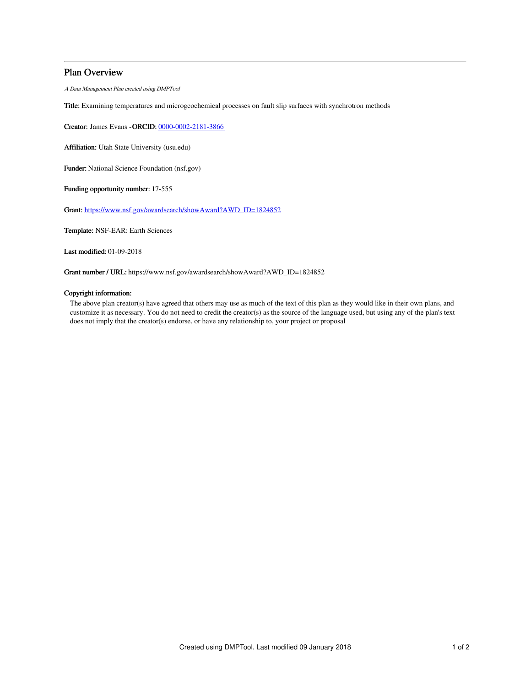# Plan Overview

A Data Management Plan created using DMPTool

Title: Examining temperatures and microgeochemical processes on fault slip surfaces with synchrotron methods

Creator: James Evans -ORCID: [0000-0002-2181-3866](https://orcid.org/0000-0002-2181-3866)

Affiliation: Utah State University (usu.edu)

Funder: National Science Foundation (nsf.gov)

Funding opportunity number: 17-555

Grant: [https://www.nsf.gov/awardsearch/showAward?AWD\\_ID=1824852](https://www.nsf.gov/awardsearch/showAward?AWD_ID=1824852)

Template: NSF-EAR: Earth Sciences

Last modified: 01-09-2018

Grant number / URL: https://www.nsf.gov/awardsearch/showAward?AWD\_ID=1824852

# Copyright information:

The above plan creator(s) have agreed that others may use as much of the text of this plan as they would like in their own plans, and customize it as necessary. You do not need to credit the creator(s) as the source of the language used, but using any of the plan's text does not imply that the creator(s) endorse, or have any relationship to, your project or proposal